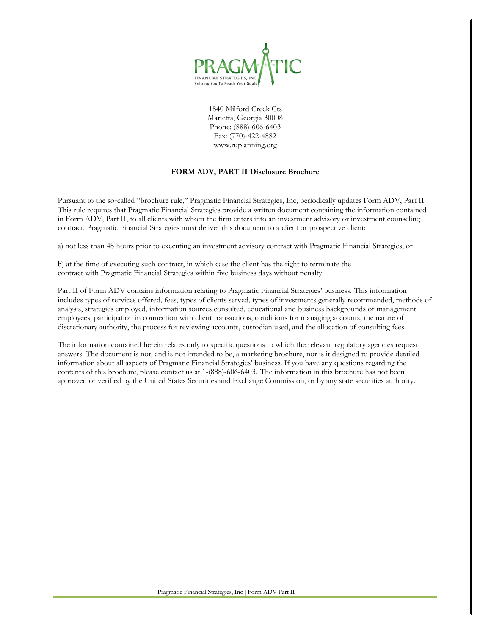

1840 Milford Creek Cts Marietta, Georgia 30008 Phone: (888)-606-6403 Fax: (770)-422-4882 www.ruplanning.org

# **FORM ADV, PART II Disclosure Brochure**

Pursuant to the so-called "brochure rule," Pragmatic Financial Strategies, Inc, periodically updates Form ADV, Part II. This rule requires that Pragmatic Financial Strategies provide a written document containing the information contained in Form ADV, Part II, to all clients with whom the firm enters into an investment advisory or investment counseling contract. Pragmatic Financial Strategies must deliver this document to a client or prospective client:

a) not less than 48 hours prior to executing an investment advisory contract with Pragmatic Financial Strategies, or

b) at the time of executing such contract, in which case the client has the right to terminate the contract with Pragmatic Financial Strategies within five business days without penalty.

Part II of Form ADV contains information relating to Pragmatic Financial Strategies' business. This information includes types of services offered, fees, types of clients served, types of investments generally recommended, methods of analysis, strategies employed, information sources consulted, educational and business backgrounds of management employees, participation in connection with client transactions, conditions for managing accounts, the nature of discretionary authority, the process for reviewing accounts, custodian used, and the allocation of consulting fees.

The information contained herein relates only to specific questions to which the relevant regulatory agencies request answers. The document is not, and is not intended to be, a marketing brochure, nor is it designed to provide detailed information about all aspects of Pragmatic Financial Strategies' business. If you have any questions regarding the contents of this brochure, please contact us at 1-(888)-606-6403. The information in this brochure has not been approved or verified by the United States Securities and Exchange Commission, or by any state securities authority.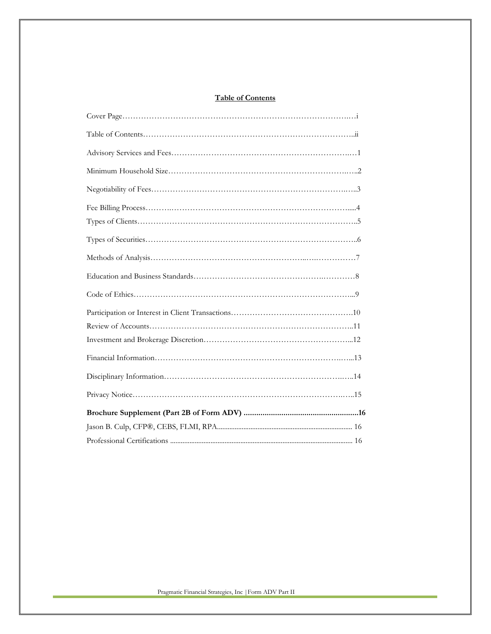# **Table of Contents**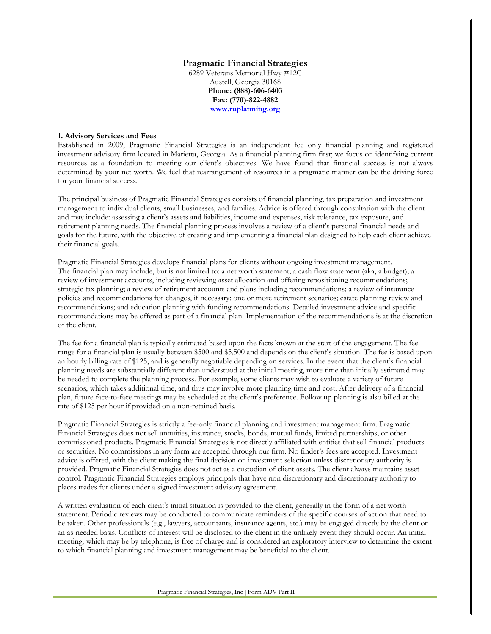#### **Pragmatic Financial Strategies**

6289 Veterans Memorial Hwy #12C Austell, Georgia 30168 **Phone: (888)-606-6403 Fax: (770)-822-4882 [www.ruplanning.org](http://www.ruplanning.org/)**

#### **1. Advisory Services and Fees**

Established in 2009, Pragmatic Financial Strategies is an independent fee only financial planning and registered investment advisory firm located in Marietta, Georgia. As a financial planning firm first; we focus on identifying current resources as a foundation to meeting our client's objectives. We have found that financial success is not always determined by your net worth. We feel that rearrangement of resources in a pragmatic manner can be the driving force for your financial success.

The principal business of Pragmatic Financial Strategies consists of financial planning, tax preparation and investment management to individual clients, small businesses, and families. Advice is offered through consultation with the client and may include: assessing a client's assets and liabilities, income and expenses, risk tolerance, tax exposure, and retirement planning needs. The financial planning process involves a review of a client's personal financial needs and goals for the future, with the objective of creating and implementing a financial plan designed to help each client achieve their financial goals.

Pragmatic Financial Strategies develops financial plans for clients without ongoing investment management. The financial plan may include, but is not limited to: a net worth statement; a cash flow statement (aka, a budget); a review of investment accounts, including reviewing asset allocation and offering repositioning recommendations; strategic tax planning; a review of retirement accounts and plans including recommendations; a review of insurance policies and recommendations for changes, if necessary; one or more retirement scenarios; estate planning review and recommendations; and education planning with funding recommendations. Detailed investment advice and specific recommendations may be offered as part of a financial plan. Implementation of the recommendations is at the discretion of the client.

The fee for a financial plan is typically estimated based upon the facts known at the start of the engagement. The fee range for a financial plan is usually between \$500 and \$5,500 and depends on the client's situation. The fee is based upon an hourly billing rate of \$125, and is generally negotiable depending on services. In the event that the client's financial planning needs are substantially different than understood at the initial meeting, more time than initially estimated may be needed to complete the planning process. For example, some clients may wish to evaluate a variety of future scenarios, which takes additional time, and thus may involve more planning time and cost. After delivery of a financial plan, future face-to-face meetings may be scheduled at the client's preference. Follow up planning is also billed at the rate of \$125 per hour if provided on a non-retained basis.

Pragmatic Financial Strategies is strictly a fee-only financial planning and investment management firm. Pragmatic Financial Strategies does not sell annuities, insurance, stocks, bonds, mutual funds, limited partnerships, or other commissioned products. Pragmatic Financial Strategies is not directly affiliated with entities that sell financial products or securities. No commissions in any form are accepted through our firm. No finder's fees are accepted. Investment advice is offered, with the client making the final decision on investment selection unless discretionary authority is provided. Pragmatic Financial Strategies does not act as a custodian of client assets. The client always maintains asset control. Pragmatic Financial Strategies employs principals that have non discretionary and discretionary authority to places trades for clients under a signed investment advisory agreement.

A written evaluation of each client's initial situation is provided to the client, generally in the form of a net worth statement. Periodic reviews may be conducted to communicate reminders of the specific courses of action that need to be taken. Other professionals (e.g., lawyers, accountants, insurance agents, etc.) may be engaged directly by the client on an as-needed basis. Conflicts of interest will be disclosed to the client in the unlikely event they should occur. An initial meeting, which may be by telephone, is free of charge and is considered an exploratory interview to determine the extent to which financial planning and investment management may be beneficial to the client.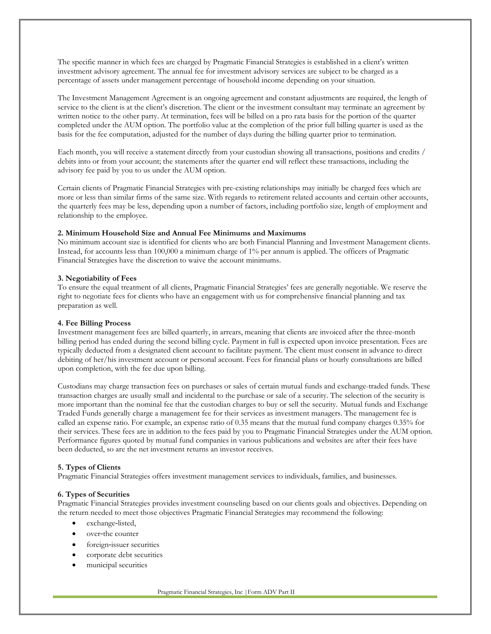The specific manner in which fees are charged by Pragmatic Financial Strategies is established in a client's written investment advisory agreement. The annual fee for investment advisory services are subject to be charged as a percentage of assets under management percentage of household income depending on your situation.

The Investment Management Agreement is an ongoing agreement and constant adjustments are required, the length of service to the client is at the client's discretion. The client or the investment consultant may terminate an agreement by written notice to the other party. At termination, fees will be billed on a pro rata basis for the portion of the quarter completed under the AUM option. The portfolio value at the completion of the prior full billing quarter is used as the basis for the fee computation, adjusted for the number of days during the billing quarter prior to termination.

Each month, you will receive a statement directly from your custodian showing all transactions, positions and credits / debits into or from your account; the statements after the quarter end will reflect these transactions, including the advisory fee paid by you to us under the AUM option.

Certain clients of Pragmatic Financial Strategies with pre-existing relationships may initially be charged fees which are more or less than similar firms of the same size. With regards to retirement related accounts and certain other accounts, the quarterly fees may be less, depending upon a number of factors, including portfolio size, length of employment and relationship to the employee.

### **2. Minimum Household Size and Annual Fee Minimums and Maximums**

No minimum account size is identified for clients who are both Financial Planning and Investment Management clients. Instead, for accounts less than 100,000 a minimum charge of 1% per annum is applied. The officers of Pragmatic Financial Strategies have the discretion to waive the account minimums.

#### **3. Negotiability of Fees**

To ensure the equal treatment of all clients, Pragmatic Financial Strategies' fees are generally negotiable. We reserve the right to negotiate fees for clients who have an engagement with us for comprehensive financial planning and tax preparation as well.

#### **4. Fee Billing Process**

Investment management fees are billed quarterly, in arrears, meaning that clients are invoiced after the three-month billing period has ended during the second billing cycle. Payment in full is expected upon invoice presentation. Fees are typically deducted from a designated client account to facilitate payment. The client must consent in advance to direct debiting of her/his investment account or personal account. Fees for financial plans or hourly consultations are billed upon completion, with the fee due upon billing.

Custodians may charge transaction fees on purchases or sales of certain mutual funds and exchange-traded funds. These transaction charges are usually small and incidental to the purchase or sale of a security. The selection of the security is more important than the nominal fee that the custodian charges to buy or sell the security. Mutual funds and Exchange Traded Funds generally charge a management fee for their services as investment managers. The management fee is called an expense ratio. For example, an expense ratio of 0.35 means that the mutual fund company charges 0.35% for their services. These fees are in addition to the fees paid by you to Pragmatic Financial Strategies under the AUM option. Performance figures quoted by mutual fund companies in various publications and websites are after their fees have been deducted, so are the net investment returns an investor receives.

#### **5. Types of Clients**

Pragmatic Financial Strategies offers investment management services to individuals, families, and businesses.

#### **6. Types of Securities**

Pragmatic Financial Strategies provides investment counseling based on our clients goals and objectives. Depending on the return needed to meet those objectives Pragmatic Financial Strategies may recommend the following:

- exchange-listed,
- over-the counter
- foreign-issuer securities
- corporate debt securities
- municipal securities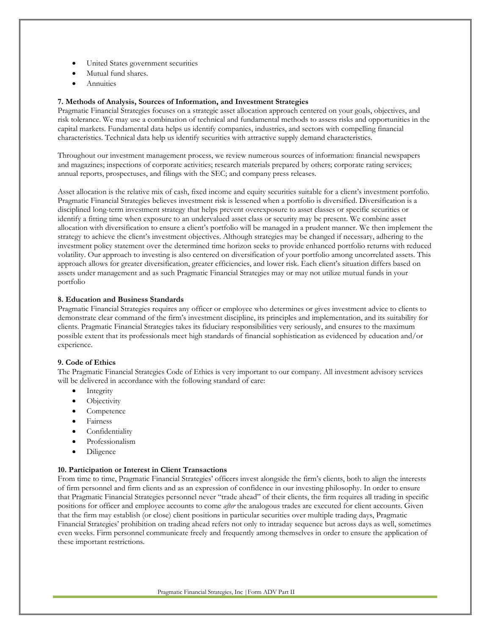- United States government securities
- Mutual fund shares.
- **Annuities**

### **7. Methods of Analysis, Sources of Information, and Investment Strategies**

Pragmatic Financial Strategies focuses on a strategic asset allocation approach centered on your goals, objectives, and risk tolerance. We may use a combination of technical and fundamental methods to assess risks and opportunities in the capital markets. Fundamental data helps us identify companies, industries, and sectors with compelling financial characteristics. Technical data help us identify securities with attractive supply demand characteristics.

Throughout our investment management process, we review numerous sources of information: financial newspapers and magazines; inspections of corporate activities; research materials prepared by others; corporate rating services; annual reports, prospectuses, and filings with the SEC; and company press releases.

Asset allocation is the relative mix of cash, fixed income and equity securities suitable for a client's investment portfolio. Pragmatic Financial Strategies believes investment risk is lessened when a portfolio is diversified. Diversification is a disciplined long-term investment strategy that helps prevent overexposure to asset classes or specific securities or identify a fitting time when exposure to an undervalued asset class or security may be present. We combine asset allocation with diversification to ensure a client's portfolio will be managed in a prudent manner. We then implement the strategy to achieve the client's investment objectives. Although strategies may be changed if necessary, adhering to the investment policy statement over the determined time horizon seeks to provide enhanced portfolio returns with reduced volatility. Our approach to investing is also centered on diversification of your portfolio among uncorrelated assets. This approach allows for greater diversification, greater efficiencies, and lower risk. Each client's situation differs based on assets under management and as such Pragmatic Financial Strategies may or may not utilize mutual funds in your portfolio

#### **8. Education and Business Standards**

Pragmatic Financial Strategies requires any officer or employee who determines or gives investment advice to clients to demonstrate clear command of the firm's investment discipline, its principles and implementation, and its suitability for clients. Pragmatic Financial Strategies takes its fiduciary responsibilities very seriously, and ensures to the maximum possible extent that its professionals meet high standards of financial sophistication as evidenced by education and/or experience.

### **9. Code of Ethics**

The Pragmatic Financial Strategies Code of Ethics is very important to our company. All investment advisory services will be delivered in accordance with the following standard of care:

- Integrity
- Objectivity
- Competence
- **Fairness**
- **Confidentiality**
- Professionalism
- Diligence

#### **10. Participation or Interest in Client Transactions**

From time to time, Pragmatic Financial Strategies' officers invest alongside the firm's clients, both to align the interests of firm personnel and firm clients and as an expression of confidence in our investing philosophy. In order to ensure that Pragmatic Financial Strategies personnel never "trade ahead" of their clients, the firm requires all trading in specific positions for officer and employee accounts to come *after* the analogous trades are executed for client accounts. Given that the firm may establish (or close) client positions in particular securities over multiple trading days, Pragmatic Financial Strategies' prohibition on trading ahead refers not only to intraday sequence but across days as well, sometimes even weeks. Firm personnel communicate freely and frequently among themselves in order to ensure the application of these important restrictions.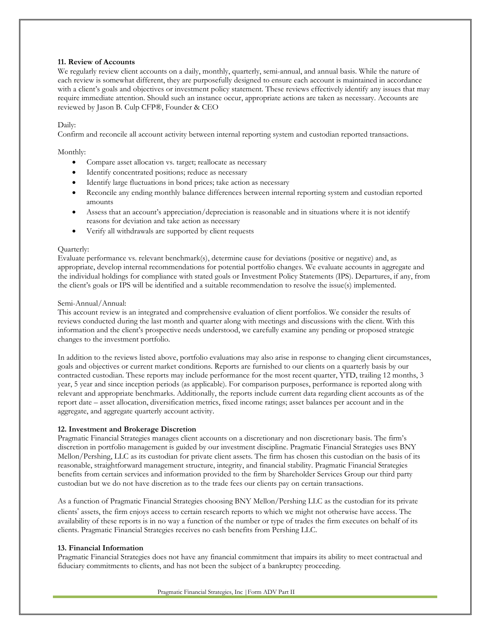### **11. Review of Accounts**

We regularly review client accounts on a daily, monthly, quarterly, semi-annual, and annual basis. While the nature of each review is somewhat different, they are purposefully designed to ensure each account is maintained in accordance with a client's goals and objectives or investment policy statement. These reviews effectively identify any issues that may require immediate attention. Should such an instance occur, appropriate actions are taken as necessary. Accounts are reviewed by Jason B. Culp CFP®, Founder & CEO

### Daily:

Confirm and reconcile all account activity between internal reporting system and custodian reported transactions.

### Monthly:

- Compare asset allocation vs. target; reallocate as necessary
- Identify concentrated positions; reduce as necessary
- Identify large fluctuations in bond prices; take action as necessary
- Reconcile any ending monthly balance differences between internal reporting system and custodian reported amounts
- Assess that an account's appreciation/depreciation is reasonable and in situations where it is not identify reasons for deviation and take action as necessary
- Verify all withdrawals are supported by client requests

#### Quarterly:

Evaluate performance vs. relevant benchmark(s), determine cause for deviations (positive or negative) and, as appropriate, develop internal recommendations for potential portfolio changes. We evaluate accounts in aggregate and the individual holdings for compliance with stated goals or Investment Policy Statements (IPS). Departures, if any, from the client's goals or IPS will be identified and a suitable recommendation to resolve the issue(s) implemented.

#### Semi-Annual/Annual:

This account review is an integrated and comprehensive evaluation of client portfolios. We consider the results of reviews conducted during the last month and quarter along with meetings and discussions with the client. With this information and the client's prospective needs understood, we carefully examine any pending or proposed strategic changes to the investment portfolio.

In addition to the reviews listed above, portfolio evaluations may also arise in response to changing client circumstances, goals and objectives or current market conditions. Reports are furnished to our clients on a quarterly basis by our contracted custodian. These reports may include performance for the most recent quarter, YTD, trailing 12 months, 3 year, 5 year and since inception periods (as applicable). For comparison purposes, performance is reported along with relevant and appropriate benchmarks. Additionally, the reports include current data regarding client accounts as of the report date – asset allocation, diversification metrics, fixed income ratings; asset balances per account and in the aggregate, and aggregate quarterly account activity.

#### **12. Investment and Brokerage Discretion**

Pragmatic Financial Strategies manages client accounts on a discretionary and non discretionary basis. The firm's discretion in portfolio management is guided by our investment discipline. Pragmatic Financial Strategies uses BNY Mellon/Pershing, LLC as its custodian for private client assets. The firm has chosen this custodian on the basis of its reasonable, straightforward management structure, integrity, and financial stability. Pragmatic Financial Strategies benefits from certain services and information provided to the firm by Shareholder Services Group our third party custodian but we do not have discretion as to the trade fees our clients pay on certain transactions.

As a function of Pragmatic Financial Strategies choosing BNY Mellon/Pershing LLC as the custodian for its private clientsʹ assets, the firm enjoys access to certain research reports to which we might not otherwise have access. The availability of these reports is in no way a function of the number or type of trades the firm executes on behalf of its clients. Pragmatic Financial Strategies receives no cash benefits from Pershing LLC.

#### **13. Financial Information**

Pragmatic Financial Strategies does not have any financial commitment that impairs its ability to meet contractual and fiduciary commitments to clients, and has not been the subject of a bankruptcy proceeding.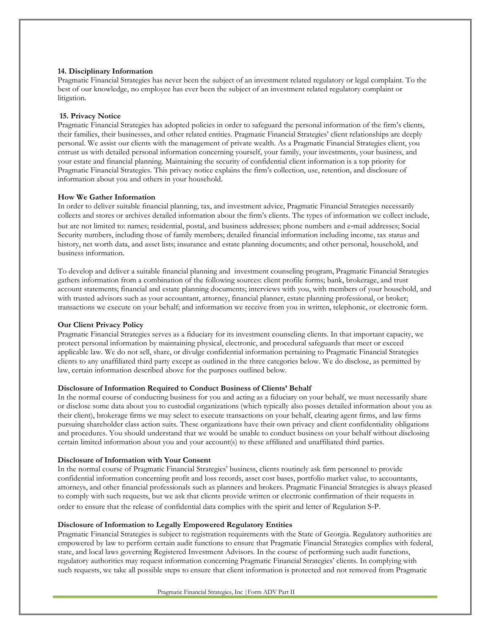### **14. Disciplinary Information**

Pragmatic Financial Strategies has never been the subject of an investment related regulatory or legal complaint. To the best of our knowledge, no employee has ever been the subject of an investment related regulatory complaint or litigation.

### **15. Privacy Notice**

Pragmatic Financial Strategies has adopted policies in order to safeguard the personal information of the firm's clients, their families, their businesses, and other related entities. Pragmatic Financial Strategies' client relationships are deeply personal. We assist our clients with the management of private wealth. As a Pragmatic Financial Strategies client, you entrust us with detailed personal information concerning yourself, your family, your investments, your business, and your estate and financial planning. Maintaining the security of confidential client information is a top priority for Pragmatic Financial Strategies. This privacy notice explains the firm's collection, use, retention, and disclosure of information about you and others in your household.

### **How We Gather Information**

In order to deliver suitable financial planning, tax, and investment advice, Pragmatic Financial Strategies necessarily collects and stores or archives detailed information about the firm's clients. The types of information we collect include, but are not limited to: names; residential, postal, and business addresses; phone numbers and e‐mail addresses; Social Security numbers, including those of family members; detailed financial information including income, tax status and history, net worth data, and asset lists; insurance and estate planning documents; and other personal, household, and business information.

To develop and deliver a suitable financial planning and investment counseling program, Pragmatic Financial Strategies gathers information from a combination of the following sources: client profile forms; bank, brokerage, and trust account statements; financial and estate planning documents; interviews with you, with members of your household, and with trusted advisors such as your accountant, attorney, financial planner, estate planning professional, or broker; transactions we execute on your behalf; and information we receive from you in written, telephonic, or electronic form.

#### **Our Client Privacy Policy**

Pragmatic Financial Strategies serves as a fiduciary for its investment counseling clients. In that important capacity, we protect personal information by maintaining physical, electronic, and procedural safeguards that meet or exceed applicable law. We do not sell, share, or divulge confidential information pertaining to Pragmatic Financial Strategies clients to any unaffiliated third party except as outlined in the three categories below. We do disclose, as permitted by law, certain information described above for the purposes outlined below.

# **Disclosure of Information Required to Conduct Business of Clients' Behalf**

In the normal course of conducting business for you and acting as a fiduciary on your behalf, we must necessarily share or disclose some data about you to custodial organizations (which typically also posses detailed information about you as their client), brokerage firms we may select to execute transactions on your behalf, clearing agent firms, and law firms pursuing shareholder class action suits. These organizations have their own privacy and client confidentiality obligations and procedures. You should understand that we would be unable to conduct business on your behalf without disclosing certain limited information about you and your account(s) to these affiliated and unaffiliated third parties.

#### **Disclosure of Information with Your Consent**

In the normal course of Pragmatic Financial Strategies' business, clients routinely ask firm personnel to provide confidential information concerning profit and loss records, asset cost bases, portfolio market value, to accountants, attorneys, and other financial professionals such as planners and brokers. Pragmatic Financial Strategies is always pleased to comply with such requests, but we ask that clients provide written or electronic confirmation of their requests in order to ensure that the release of confidential data complies with the spirit and letter of Regulation S‐P.

### **Disclosure of Information to Legally Empowered Regulatory Entities**

Pragmatic Financial Strategies is subject to registration requirements with the State of Georgia. Regulatory authorities are empowered by law to perform certain audit functions to ensure that Pragmatic Financial Strategies complies with federal, state, and local laws governing Registered Investment Advisors. In the course of performing such audit functions, regulatory authorities may request information concerning Pragmatic Financial Strategies' clients. In complying with such requests, we take all possible steps to ensure that client information is protected and not removed from Pragmatic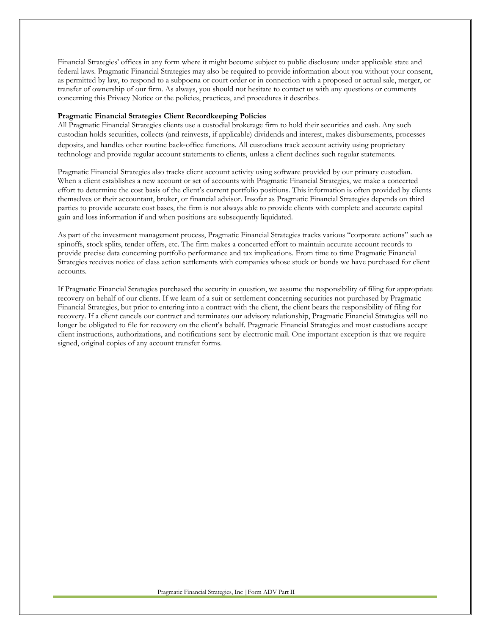Financial Strategies' offices in any form where it might become subject to public disclosure under applicable state and federal laws. Pragmatic Financial Strategies may also be required to provide information about you without your consent, as permitted by law, to respond to a subpoena or court order or in connection with a proposed or actual sale, merger, or transfer of ownership of our firm. As always, you should not hesitate to contact us with any questions or comments concerning this Privacy Notice or the policies, practices, and procedures it describes.

#### **Pragmatic Financial Strategies Client Recordkeeping Policies**

All Pragmatic Financial Strategies clients use a custodial brokerage firm to hold their securities and cash. Any such custodian holds securities, collects (and reinvests, if applicable) dividends and interest, makes disbursements, processes deposits, and handles other routine back‐office functions. All custodians track account activity using proprietary technology and provide regular account statements to clients, unless a client declines such regular statements.

Pragmatic Financial Strategies also tracks client account activity using software provided by our primary custodian. When a client establishes a new account or set of accounts with Pragmatic Financial Strategies, we make a concerted effort to determine the cost basis of the client's current portfolio positions. This information is often provided by clients themselves or their accountant, broker, or financial advisor. Insofar as Pragmatic Financial Strategies depends on third parties to provide accurate cost bases, the firm is not always able to provide clients with complete and accurate capital gain and loss information if and when positions are subsequently liquidated.

As part of the investment management process, Pragmatic Financial Strategies tracks various "corporate actions" such as spinoffs, stock splits, tender offers, etc. The firm makes a concerted effort to maintain accurate account records to provide precise data concerning portfolio performance and tax implications. From time to time Pragmatic Financial Strategies receives notice of class action settlements with companies whose stock or bonds we have purchased for client accounts.

If Pragmatic Financial Strategies purchased the security in question, we assume the responsibility of filing for appropriate recovery on behalf of our clients. If we learn of a suit or settlement concerning securities not purchased by Pragmatic Financial Strategies, but prior to entering into a contract with the client, the client bears the responsibility of filing for recovery. If a client cancels our contract and terminates our advisory relationship, Pragmatic Financial Strategies will no longer be obligated to file for recovery on the client's behalf. Pragmatic Financial Strategies and most custodians accept client instructions, authorizations, and notifications sent by electronic mail. One important exception is that we require signed, original copies of any account transfer forms.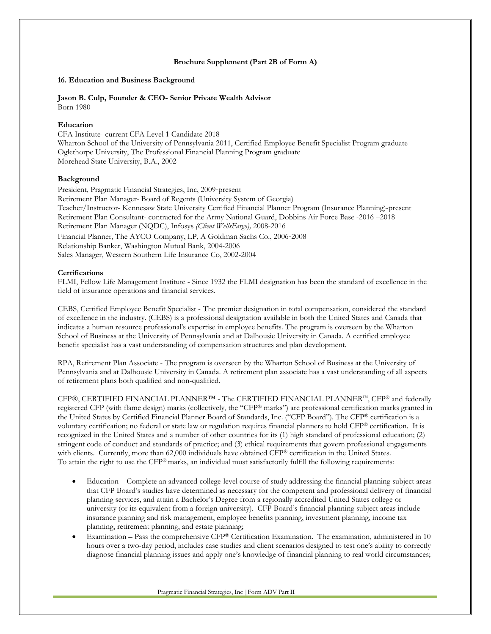### **Brochure Supplement (Part 2B of Form A)**

### **16. Education and Business Background**

#### **Jason B. Culp, Founder & CEO- Senior Private Wealth Advisor** Born 1980

### **Education**

CFA Institute- current CFA Level 1 Candidate 2018 Wharton School of the University of Pennsylvania 2011, Certified Employee Benefit Specialist Program graduate Oglethorpe University, The Professional Financial Planning Program graduate Morehead State University, B.A., 2002

### **Background**

President, Pragmatic Financial Strategies, Inc, 2009‐present Retirement Plan Manager- Board of Regents (University System of Georgia) Teacher/Instructor- Kennesaw State University Certified Financial Planner Program (Insurance Planning)-present Retirement Plan Consultant- contracted for the Army National Guard, Dobbins Air Force Base -2016 –2018 Retirement Plan Manager (NQDC), Infosys *(Client WellsFargo),* 2008-2016 Financial Planner, The AYCO Company, LP, A Goldman Sachs Co., 2006‐2008 Relationship Banker, Washington Mutual Bank, 2004-2006 Sales Manager, Western Southern Life Insurance Co, 2002-2004

### **Certifications**

FLMI, Fellow Life Management Institute - Since 1932 the FLMI designation has been the standard of excellence in the field of insurance operations and financial services.

CEBS, Certified Employee Benefit Specialist - The premier designation in total compensation, considered the standard of excellence in the industry. (CEBS) is a professional designation available in both the United States and Canada that indicates a human resource professional's expertise in employee benefits. The program is overseen by the Wharton School of Business at the University of Pennsylvania and at Dalhousie University in Canada. A certified employee benefit specialist has a vast understanding of compensation structures and plan development.

RPA, Retirement Plan Associate - The program is overseen by the Wharton School of Business at the University of Pennsylvania and at Dalhousie University in Canada. A retirement plan associate has a vast understanding of all aspects of retirement plans both qualified and non-qualified.

CFP®, CERTIFIED FINANCIAL PLANNER™ - The CERTIFIED FINANCIAL PLANNER™, CFP® and federally registered CFP (with flame design) marks (collectively, the "CFP® marks") are professional certification marks granted in the United States by Certified Financial Planner Board of Standards, Inc. ("CFP Board"). The CFP® certification is a voluntary certification; no federal or state law or regulation requires financial planners to hold CFP® certification. It is recognized in the United States and a number of other countries for its (1) high standard of professional education; (2) stringent code of conduct and standards of practice; and (3) ethical requirements that govern professional engagements with clients. Currently, more than 62,000 individuals have obtained CFP® certification in the United States. To attain the right to use the  $CFP^®$  marks, an individual must satisfactorily fulfill the following requirements:

- Education Complete an advanced college-level course of study addressing the financial planning subject areas that CFP Board's studies have determined as necessary for the competent and professional delivery of financial planning services, and attain a Bachelor's Degree from a regionally accredited United States college or university (or its equivalent from a foreign university). CFP Board's financial planning subject areas include insurance planning and risk management, employee benefits planning, investment planning, income tax planning, retirement planning, and estate planning;
- Examination Pass the comprehensive CFP® Certification Examination. The examination, administered in 10 hours over a two-day period, includes case studies and client scenarios designed to test one's ability to correctly diagnose financial planning issues and apply one's knowledge of financial planning to real world circumstances;